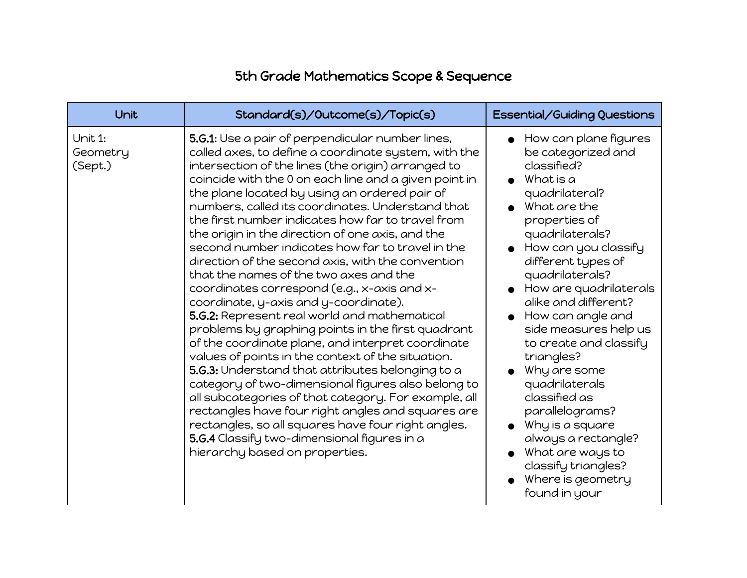## 5th Grade Mathematics Scope & Sequence

| Unit                           | Standard(s)/Outcome(s)/Topic(s)                                                                                                                                                                                                                                                                                                                                                                                                                                                                                                                                                                                                                                                                                                                                                                                                                                                                                                                                                                                                                                                                                                                                                                                                                               | <b>Essential/Guiding Questions</b>                                                                                                                                                                                                                                                                                                                                                                                                                                                                                                                                             |
|--------------------------------|---------------------------------------------------------------------------------------------------------------------------------------------------------------------------------------------------------------------------------------------------------------------------------------------------------------------------------------------------------------------------------------------------------------------------------------------------------------------------------------------------------------------------------------------------------------------------------------------------------------------------------------------------------------------------------------------------------------------------------------------------------------------------------------------------------------------------------------------------------------------------------------------------------------------------------------------------------------------------------------------------------------------------------------------------------------------------------------------------------------------------------------------------------------------------------------------------------------------------------------------------------------|--------------------------------------------------------------------------------------------------------------------------------------------------------------------------------------------------------------------------------------------------------------------------------------------------------------------------------------------------------------------------------------------------------------------------------------------------------------------------------------------------------------------------------------------------------------------------------|
| Unit 1:<br>Geometry<br>(Sept.) | 5.G.1: Use a pair of perpendicular number lines,<br>called axes, to define a coordinate system, with the<br>intersection of the lines (the origin) arranged to<br>coincide with the 0 on each line and a given point in<br>the plane located by using an ordered pair of<br>numbers, called its coordinates. Understand that<br>the first number indicates how far to travel from<br>the origin in the direction of one axis, and the<br>second number indicates how far to travel in the<br>direction of the second axis, with the convention<br>that the names of the two axes and the<br>coordinates correspond (e.g., x-axis and x-<br>coordinate, y-axis and y-coordinate).<br>5.G.2: Represent real world and mathematical<br>problems by graphing points in the first quadrant<br>of the coordinate plane, and interpret coordinate<br>values of points in the context of the situation.<br>5.G.3: Understand that attributes belonging to a<br>category of two-dimensional figures also belong to<br>all subcategories of that category. For example, all<br>rectangles have four right angles and squares are<br>rectangles, so all squares have four right angles.<br>5.G.4 Classify two-dimensional figures in a<br>hierarchy based on properties. | How can plane figures<br>be categorized and<br>classified?<br>What is a<br>quadrilateral?<br>$\bullet$ What are the<br>properties of<br>quadrilaterals?<br>How can you classify<br>different types of<br>quadrilaterals?<br>How are quadrilaterals<br>alike and different?<br>How can angle and<br>side measures help us<br>to create and classify<br>triangles?<br>Why are some<br>quadrilaterals<br>classified as<br>parallelograms?<br>Why is a square<br>$\bullet$<br>always a rectangle?<br>What are ways to<br>classify triangles?<br>Where is geometry<br>found in your |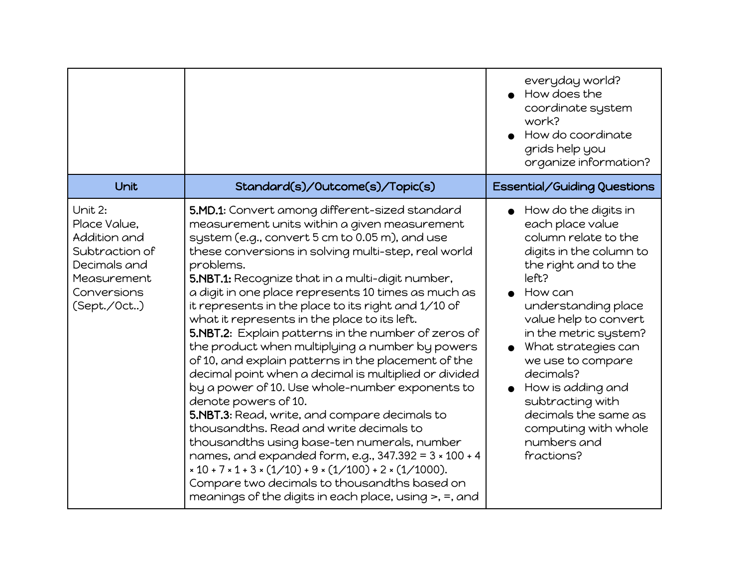| Unit                                                                                                                    | Standard(s)/Outcome(s)/Topic(s)                                                                                                                                                                                                                                                                                                                                                                                                                                                                                                                                                                                                                                                                                                                                                                                                                                                                                                                                                                                                                                                                                                                  | everyday world?<br>How does the<br>coordinate system<br>work?<br>How do coordinate<br>grids help you<br>organize information?<br>Essential/Guiding Questions                                                                                                                                                                                                                                    |
|-------------------------------------------------------------------------------------------------------------------------|--------------------------------------------------------------------------------------------------------------------------------------------------------------------------------------------------------------------------------------------------------------------------------------------------------------------------------------------------------------------------------------------------------------------------------------------------------------------------------------------------------------------------------------------------------------------------------------------------------------------------------------------------------------------------------------------------------------------------------------------------------------------------------------------------------------------------------------------------------------------------------------------------------------------------------------------------------------------------------------------------------------------------------------------------------------------------------------------------------------------------------------------------|-------------------------------------------------------------------------------------------------------------------------------------------------------------------------------------------------------------------------------------------------------------------------------------------------------------------------------------------------------------------------------------------------|
| Unit 2:<br>Place Value,<br>Addition and<br>Subtraction of<br>Decimals and<br>Measurement<br>Conversions<br>(Sept./Oct.) | 5.MD.1: Convert among different-sized standard<br>measurement units within a given measurement<br>system (e.g., convert 5 cm to 0.05 m), and use<br>these conversions in solving multi-step, real world<br>problems.<br>5.NBT.1: Recognize that in a multi-digit number,<br>a digit in one place represents 10 times as much as<br>it represents in the place to its right and 1/10 of<br>what it represents in the place to its left.<br>5.NBT.2: Explain patterns in the number of zeros of<br>the product when multiplying a number by powers<br>of 10, and explain patterns in the placement of the<br>decimal point when a decimal is multiplied or divided<br>by a power of 10. Use whole-number exponents to<br>denote powers of 10.<br>5.NBT.3: Read, write, and compare decimals to<br>thousandths. Read and write decimals to<br>thousandths using base-ten numerals, number<br>names, and expanded form, e.g., $347.392 = 3 \times 100 + 4$<br>$x 10 + 7 \times 1 + 3 \times (1/10) + 9 \times (1/100) + 2 \times (1/1000).$<br>Compare two decimals to thousandths based on<br>meanings of the digits in each place, using >, =, and | How do the digits in<br>each place value<br>column relate to the<br>digits in the column to<br>the right and to the<br>left?<br>How can<br>understanding place<br>value help to convert<br>in the metric system?<br>What strategies can<br>we use to compare<br>decimals?<br>How is adding and<br>subtracting with<br>decimals the same as<br>computing with whole<br>numbers and<br>fractions? |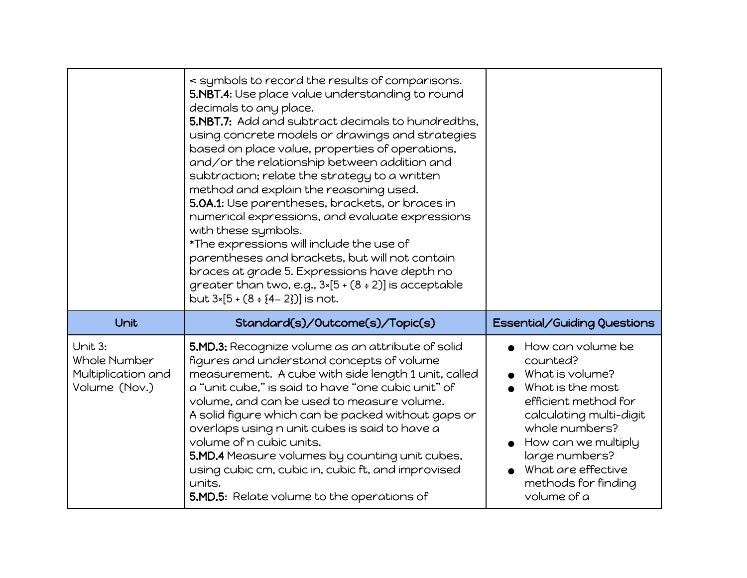|                                                                | < symbols to record the results of comparisons.<br>5.NBT.4: Use place value understanding to round<br>decimals to any place.<br>5.NBT.7: Add and subtract decimals to hundredths,<br>using concrete models or drawings and strategies<br>based on place value, properties of operations,<br>and/or the relationship between addition and<br>subtraction; relate the strategy to a written<br>method and explain the reasoning used.<br>5.0A.1: Use parentheses, brackets, or braces in<br>numerical expressions, and evaluate expressions<br>with these symbols.<br>*The expressions will include the use of<br>parentheses and brackets, but will not contain<br>braces at grade 5. Expressions have depth no<br>greater than two, e.g., $3*[5+(8:2)]$ is acceptable<br>but $3*[5+(8 \div 4-2)]$ is not. |                                                                                                                                                                                                                                                          |
|----------------------------------------------------------------|-----------------------------------------------------------------------------------------------------------------------------------------------------------------------------------------------------------------------------------------------------------------------------------------------------------------------------------------------------------------------------------------------------------------------------------------------------------------------------------------------------------------------------------------------------------------------------------------------------------------------------------------------------------------------------------------------------------------------------------------------------------------------------------------------------------|----------------------------------------------------------------------------------------------------------------------------------------------------------------------------------------------------------------------------------------------------------|
| Unit                                                           | Standard(s)/Outcome(s)/Topic(s)                                                                                                                                                                                                                                                                                                                                                                                                                                                                                                                                                                                                                                                                                                                                                                           | Essential/Guiding Questions                                                                                                                                                                                                                              |
| Unit 3:<br>Whole Number<br>Multiplication and<br>Volume (Nov.) | 5.MD.3: Recognize volume as an attribute of solid<br>figures and understand concepts of volume<br>measurement. A cube with side length 1 unit, called<br>a "unit cube," is said to have "one cubic unit" of<br>volume, and can be used to measure volume.<br>A solid figure which can be packed without gaps or<br>overlaps using n unit cubes is said to have a<br>volume of n cubic units.<br>5.MD.4 Measure volumes by counting unit cubes,<br>using cubic cm, cubic in, cubic ft, and improvised<br>units.<br>5.MD.5: Relate volume to the operations of                                                                                                                                                                                                                                              | How can volume be<br>counted?<br>What is volume?<br>What is the most<br>efficient method for<br>calculating multi-digit<br>whole numbers?<br>$\bullet$ How can we multiply<br>large numbers?<br>What are effective<br>methods for finding<br>volume of a |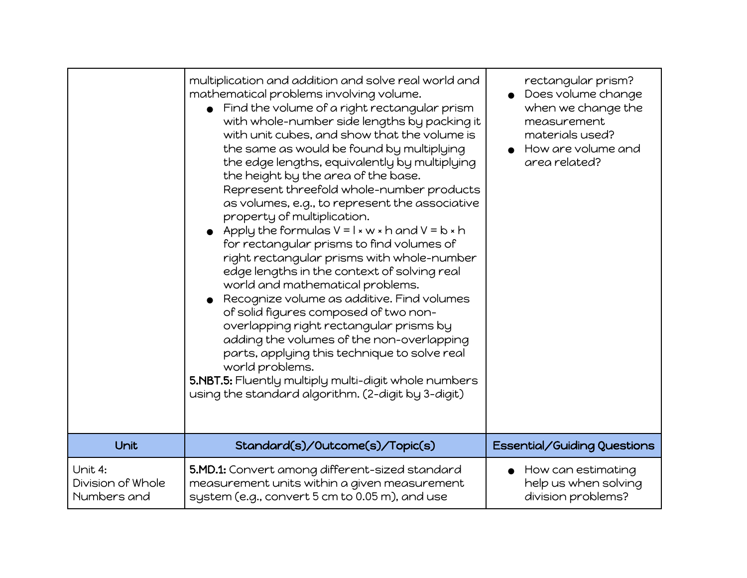|                                             | multiplication and addition and solve real world and<br>mathematical problems involving volume.<br>Find the volume of a right rectangular prism<br>with whole-number side lengths by packing it<br>with unit cubes, and show that the volume is<br>the same as would be found by multiplying<br>the edge lengths, equivalently by multiplying<br>the height by the area of the base.<br>Represent threefold whole-number products<br>as volumes, e.g., to represent the associative<br>property of multiplication.<br>• Apply the formulas $V = I \times W \times h$ and $V = b \times h$<br>for rectangular prisms to find volumes of<br>right rectangular prisms with whole-number<br>edge lengths in the context of solving real<br>world and mathematical problems.<br>Recognize volume as additive. Find volumes<br>of solid figures composed of two non-<br>overlapping right rectangular prisms by<br>adding the volumes of the non-overlapping<br>parts, applying this technique to solve real<br>world problems.<br>5.NBT.5: Fluently multiply multi-digit whole numbers<br>using the standard algorithm. (2-digit by 3-digit) | rectangular prism?<br>Does volume change<br>when we change the<br>measurement<br>materials used?<br>How are volume and<br>area related? |
|---------------------------------------------|-----------------------------------------------------------------------------------------------------------------------------------------------------------------------------------------------------------------------------------------------------------------------------------------------------------------------------------------------------------------------------------------------------------------------------------------------------------------------------------------------------------------------------------------------------------------------------------------------------------------------------------------------------------------------------------------------------------------------------------------------------------------------------------------------------------------------------------------------------------------------------------------------------------------------------------------------------------------------------------------------------------------------------------------------------------------------------------------------------------------------------------------|-----------------------------------------------------------------------------------------------------------------------------------------|
| Unit                                        | Standard(s)/Outcome(s)/Topic(s)                                                                                                                                                                                                                                                                                                                                                                                                                                                                                                                                                                                                                                                                                                                                                                                                                                                                                                                                                                                                                                                                                                         | Essential/Guiding Questions                                                                                                             |
| Unit 4:<br>Division of Whole<br>Numbers and | 5.MD.1: Convert among different-sized standard<br>measurement units within a given measurement<br>system (e.g., convert 5 cm to 0.05 m), and use                                                                                                                                                                                                                                                                                                                                                                                                                                                                                                                                                                                                                                                                                                                                                                                                                                                                                                                                                                                        | How can estimating<br>help us when solving<br>division problems?                                                                        |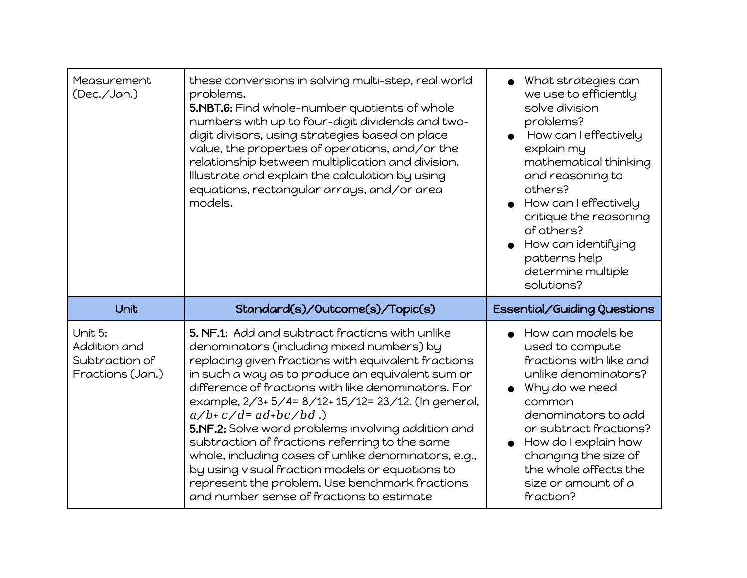| Measurement<br>(Dec./Jan.)                                    | these conversions in solving multi-step, real world<br>problems.<br>5.NBT.6: Find whole-number quotients of whole<br>numbers with up to four-digit dividends and two-<br>digit divisors, using strategies based on place<br>value, the properties of operations, and/or the<br>relationship between multiplication and division.<br>Illustrate and explain the calculation by using<br>equations, rectangular arrays, and/or area<br>models.                                                                                                                                                                                                                       | What strategies can<br>we use to efficiently<br>solve division<br>problems?<br>How can I effectively<br>explain my<br>mathematical thinking<br>and reasoning to<br>others?<br>How can I effectively<br>critique the reasoning<br>of others?<br>How can identifying<br>patterns help<br>determine multiple<br>solutions? |
|---------------------------------------------------------------|--------------------------------------------------------------------------------------------------------------------------------------------------------------------------------------------------------------------------------------------------------------------------------------------------------------------------------------------------------------------------------------------------------------------------------------------------------------------------------------------------------------------------------------------------------------------------------------------------------------------------------------------------------------------|-------------------------------------------------------------------------------------------------------------------------------------------------------------------------------------------------------------------------------------------------------------------------------------------------------------------------|
| Unit                                                          | Standard(s)/Outcome(s)/Topic(s)                                                                                                                                                                                                                                                                                                                                                                                                                                                                                                                                                                                                                                    | Essential/Guiding Questions                                                                                                                                                                                                                                                                                             |
| Unit 5:<br>Addition and<br>Subtraction of<br>Fractions (Jan.) | 5. NF.1: Add and subtract fractions with unlike<br>denominators (including mixed numbers) by<br>replacing given fractions with equivalent fractions<br>in such a way as to produce an equivalent sum or<br>difference of fractions with like denominators. For<br>example, 2/3+ 5/4= 8/12+ 15/12= 23/12. (In general,<br>$a/b+c/d = ad+bc/bd$ .)<br>5.NF.2: Solve word problems involving addition and<br>subtraction of fractions referring to the same<br>whole, including cases of unlike denominators, e.g.,<br>by using visual fraction models or equations to<br>represent the problem. Use benchmark fractions<br>and number sense of fractions to estimate | How can models be<br>used to compute<br>fractions with like and<br>unlike denominators?<br>Why do we need<br>common<br>denominators to add<br>or subtract fractions?<br>$\bullet$ How do I explain how<br>changing the size of<br>the whole affects the<br>size or amount of a<br>fraction?                             |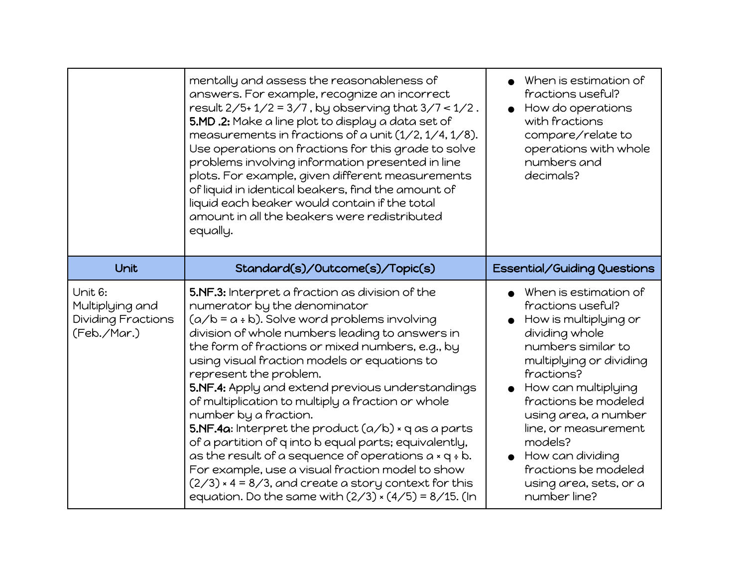|                                                                 | mentally and assess the reasonableness of<br>answers. For example, recognize an incorrect<br>result $2/5$ +1/2 = 3/7, by observing that $3/7$ < 1/2.<br>5.MD .2: Make a line plot to display a data set of<br>measurements in fractions of a unit $(1/2, 1/4, 1/8)$ .<br>Use operations on fractions for this grade to solve<br>problems involving information presented in line<br>plots. For example, given different measurements<br>of liquid in identical beakers, find the amount of<br>liquid each beaker would contain if the total<br>amount in all the beakers were redistributed<br>equally.                                                                                                                                                                                                                  | When is estimation of<br>fractions useful?<br>How do operations<br>with fractions<br>compare/relate to<br>operations with whole<br>numbers and<br>decimals?                                                                                                                                                                                          |
|-----------------------------------------------------------------|--------------------------------------------------------------------------------------------------------------------------------------------------------------------------------------------------------------------------------------------------------------------------------------------------------------------------------------------------------------------------------------------------------------------------------------------------------------------------------------------------------------------------------------------------------------------------------------------------------------------------------------------------------------------------------------------------------------------------------------------------------------------------------------------------------------------------|------------------------------------------------------------------------------------------------------------------------------------------------------------------------------------------------------------------------------------------------------------------------------------------------------------------------------------------------------|
| Unit                                                            | Standard(s)/Outcome(s)/Topic(s)                                                                                                                                                                                                                                                                                                                                                                                                                                                                                                                                                                                                                                                                                                                                                                                          | Essential/Guiding Questions                                                                                                                                                                                                                                                                                                                          |
| Unit 6:<br>Multiplying and<br>Dividing Fractions<br>(Feb./Mar.) | 5.NF.3: Interpret a fraction as division of the<br>numerator by the denominator<br>$(a/b = a + b)$ . Solve word problems involving<br>division of whole numbers leading to answers in<br>the form of fractions or mixed numbers, e.g., by<br>using visual fraction models or equations to<br>represent the problem.<br>5.NF.4: Apply and extend previous understandings<br>of multiplication to multiply a fraction or whole<br>number by a fraction.<br>5.NF.4a: Interpret the product $(a/b)$ × q as a parts<br>of a partition of q into b equal parts; equivalently,<br>as the result of a sequence of operations $a \times q \div b$ .<br>For example, use a visual fraction model to show<br>$(2/3)$ × 4 = 8/3, and create a story context for this<br>equation. Do the same with $(2/3) \times (4/5) = 8/15$ . (In | When is estimation of<br>fractions useful?<br>How is multiplying or<br>dividing whole<br>numbers similar to<br>multiplying or dividing<br>fractions?<br>How can multiplying<br>fractions be modeled<br>using area, a number<br>line, or measurement<br>models?<br>How can dividing<br>fractions be modeled<br>using area, sets, or a<br>number line? |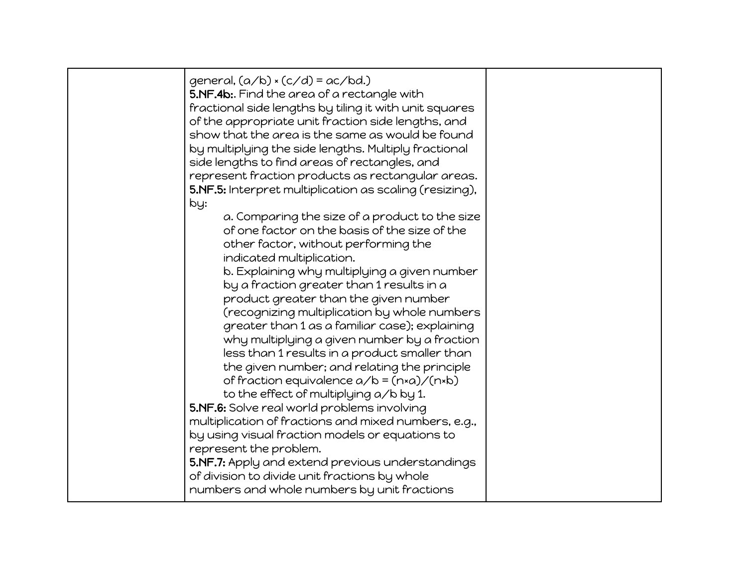| general, $(a/b) \times (c/d) = ac/bd$ .)<br>5.NF.4b:. Find the area of a rectangle with<br>fractional side lengths by tiling it with unit squares<br>of the appropriate unit fraction side lengths, and<br>show that the area is the same as would be found<br>by multiplying the side lengths. Multiply fractional<br>side lengths to find areas of rectangles, and<br>represent fraction products as rectangular areas.<br>5.NF.5: Interpret multiplication as scaling (resizing),<br>by:<br>a. Comparing the size of a product to the size<br>of one factor on the basis of the size of the<br>other factor, without performing the<br>indicated multiplication.<br>b. Explaining why multiplying a given number<br>by a fraction greater than 1 results in a<br>product greater than the given number<br>(recognizing multiplication by whole numbers<br>greater than 1 as a familiar case); explaining<br>why multiplying a given number by a fraction<br>less than 1 results in a product smaller than<br>the given number; and relating the principle<br>of fraction equivalence $a/b = (n \times a) / (n \times b)$<br>to the effect of multiplying a/b by 1.<br>5.NF.6: Solve real world problems involving<br>multiplication of fractions and mixed numbers, e.g.,<br>by using visual fraction models or equations to<br>represent the problem.<br>5.NF.7: Apply and extend previous understandings |  |
|---------------------------------------------------------------------------------------------------------------------------------------------------------------------------------------------------------------------------------------------------------------------------------------------------------------------------------------------------------------------------------------------------------------------------------------------------------------------------------------------------------------------------------------------------------------------------------------------------------------------------------------------------------------------------------------------------------------------------------------------------------------------------------------------------------------------------------------------------------------------------------------------------------------------------------------------------------------------------------------------------------------------------------------------------------------------------------------------------------------------------------------------------------------------------------------------------------------------------------------------------------------------------------------------------------------------------------------------------------------------------------------------------------------|--|
| of division to divide unit fractions by whole<br>numbers and whole numbers by unit fractions                                                                                                                                                                                                                                                                                                                                                                                                                                                                                                                                                                                                                                                                                                                                                                                                                                                                                                                                                                                                                                                                                                                                                                                                                                                                                                                  |  |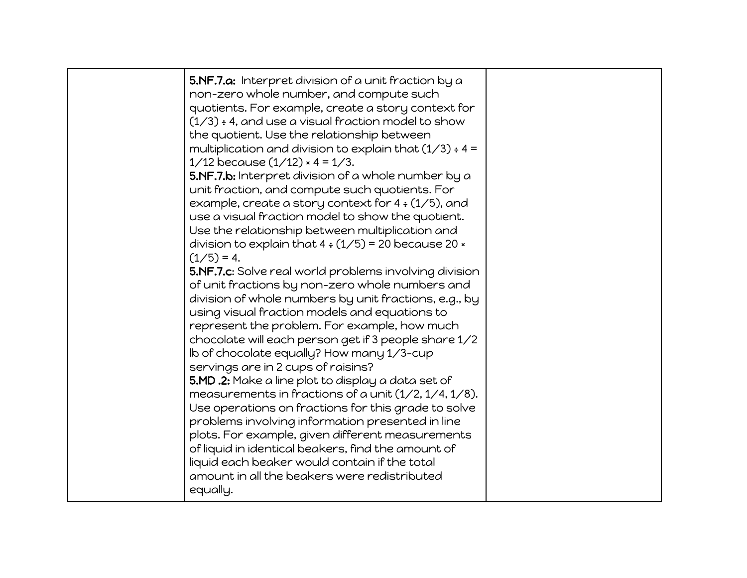| 5.NF.7.a: Interpret division of a unit fraction by a<br>non-zero whole number, and compute such<br>quotients. For example, create a story context for<br>$(1/3)$ ÷ 4, and use a visual fraction model to show<br>the quotient. Use the relationship between<br>multiplication and division to explain that $(1/3) \div 4 =$<br>$1/12$ because $(1/12) \times 4 = 1/3$ .<br>5.NF.7.b: Interpret division of a whole number by a<br>unit fraction, and compute such quotients. For<br>example, create a story context for $4 \div (1/5)$ , and<br>use a visual fraction model to show the quotient.<br>Use the relationship between multiplication and<br>division to explain that $4 \div (1/5) = 20$ because 20 $\times$<br>$(1/5) = 4.$<br>5.NF.7.c: Solve real world problems involving division<br>of unit fractions by non-zero whole numbers and<br>division of whole numbers by unit fractions, e.g., by<br>using visual fraction models and equations to<br>represent the problem. For example, how much<br>chocolate will each person get if 3 people share 1/2<br>Ib of chocolate equally? How many 1/3-cup<br>servings are in 2 cups of raisins?<br>5.MD .2: Make a line plot to display a data set of<br>measurements in fractions of a unit $(1/2, 1/4, 1/8)$ .<br>Use operations on fractions for this grade to solve<br>problems involving information presented in line<br>plots. For example, given different measurements<br>of liquid in identical beakers, find the amount of<br>liquid each beaker would contain if the total |  |
|---------------------------------------------------------------------------------------------------------------------------------------------------------------------------------------------------------------------------------------------------------------------------------------------------------------------------------------------------------------------------------------------------------------------------------------------------------------------------------------------------------------------------------------------------------------------------------------------------------------------------------------------------------------------------------------------------------------------------------------------------------------------------------------------------------------------------------------------------------------------------------------------------------------------------------------------------------------------------------------------------------------------------------------------------------------------------------------------------------------------------------------------------------------------------------------------------------------------------------------------------------------------------------------------------------------------------------------------------------------------------------------------------------------------------------------------------------------------------------------------------------------------------------------------------|--|
| amount in all the beakers were redistributed<br>equally.                                                                                                                                                                                                                                                                                                                                                                                                                                                                                                                                                                                                                                                                                                                                                                                                                                                                                                                                                                                                                                                                                                                                                                                                                                                                                                                                                                                                                                                                                          |  |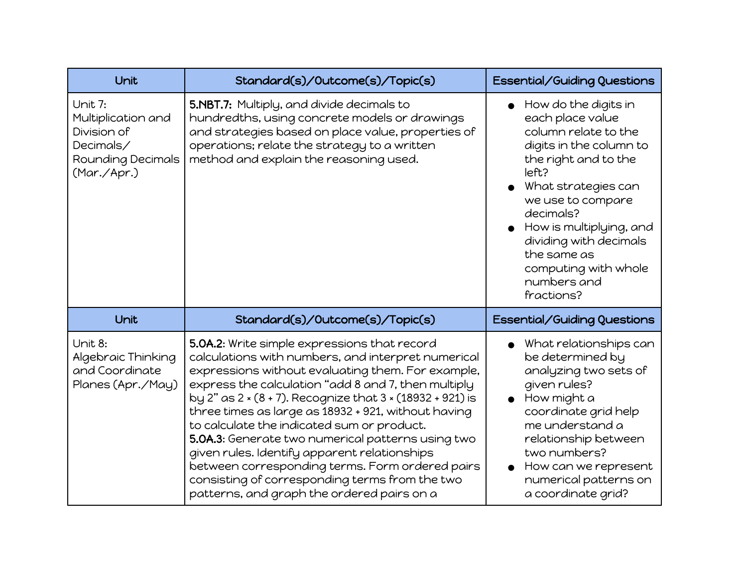| Unit                                                                                          | Standard(s)/Outcome(s)/Topic(s)                                                                                                                                                                                                                                                                                                                                                                                                                                                                                                                                                                                                          | Essential/Guiding Questions                                                                                                                                                                                                                                                                                                 |
|-----------------------------------------------------------------------------------------------|------------------------------------------------------------------------------------------------------------------------------------------------------------------------------------------------------------------------------------------------------------------------------------------------------------------------------------------------------------------------------------------------------------------------------------------------------------------------------------------------------------------------------------------------------------------------------------------------------------------------------------------|-----------------------------------------------------------------------------------------------------------------------------------------------------------------------------------------------------------------------------------------------------------------------------------------------------------------------------|
| Unit 7:<br>Multiplication and<br>Division of<br>Decimals/<br>Rounding Decimals<br>(Mar./Apr.) | 5.NBT.7: Multiply, and divide decimals to<br>hundredths, using concrete models or drawings<br>and strategies based on place value, properties of<br>operations; relate the strategy to a written<br>method and explain the reasoning used.                                                                                                                                                                                                                                                                                                                                                                                               | How do the digits in<br>$\bullet$<br>each place value<br>column relate to the<br>digits in the column to<br>the right and to the<br>left?<br>What strategies can<br>we use to compare<br>decimals?<br>How is multiplying, and<br>dividing with decimals<br>the same as<br>computing with whole<br>numbers and<br>fractions? |
| Unit                                                                                          | Standard(s)/Outcome(s)/Topic(s)                                                                                                                                                                                                                                                                                                                                                                                                                                                                                                                                                                                                          | Essential/Guiding Questions                                                                                                                                                                                                                                                                                                 |
| Unit 8:<br>Algebraic Thinking<br>and Coordinate<br>Planes (Apr./May)                          | 5.0A.2: Write simple expressions that record<br>calculations with numbers, and interpret numerical<br>expressions without evaluating them. For example,<br>express the calculation "add 8 and 7, then multiply<br>by 2" as 2 × (8 + 7). Recognize that 3 × (18932 + 921) is<br>three times as large as 18932 + 921, without having<br>to calculate the indicated sum or product.<br>5.0A.3: Generate two numerical patterns using two<br>given rules. Identify apparent relationships<br>between corresponding terms. Form ordered pairs<br>consisting of corresponding terms from the two<br>patterns, and graph the ordered pairs on a | What relationships can<br>$\bullet$<br>be determined by<br>analyzing two sets of<br>given rules?<br>How might a<br>coordinate grid help<br>me understand a<br>relationship between<br>two numbers?<br>How can we represent<br>numerical patterns on<br>a coordinate grid?                                                   |